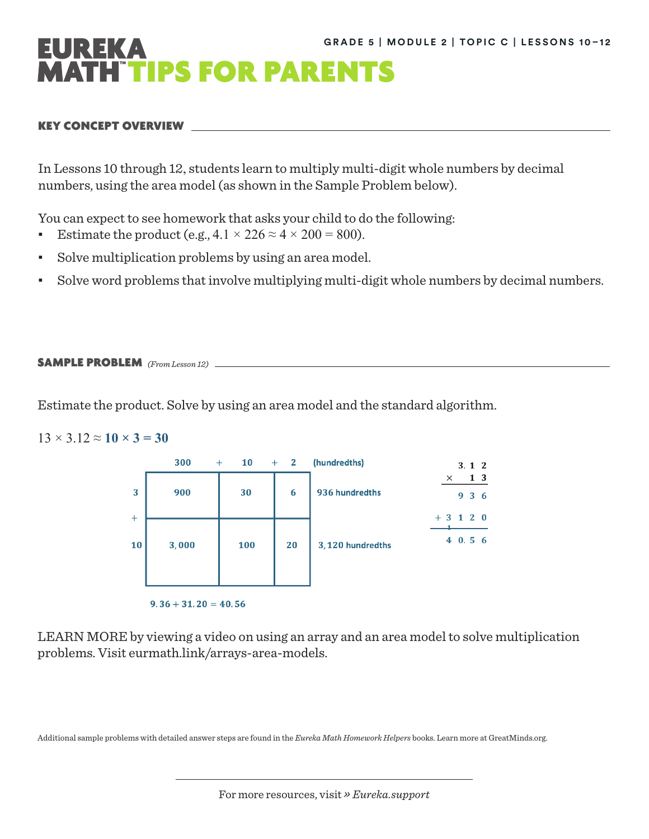# UREKA **ATH TIPS FOR PARENTS**

### KEY CONCEPT OVERVIEW

In Lessons 10 through 12, students learn to multiply multi-digit whole numbers by decimal numbers, using the area model (as shown in the Sample Problem below).

You can expect to see homework that asks your child to do the following:

- Estimate the product (e.g.,  $4.1 \times 226 \approx 4 \times 200 = 800$ ).
- Solve multiplication problems by using an area model.
- Solve word problems that involve multiplying multi-digit whole numbers by decimal numbers.

### SAMPLE PROBLEM *(From Lesson 12)*

Estimate the product. Solve by using an area model and the standard algorithm.

## $13 \times 3.12 \approx 10 \times 3 = 30$



LEARN MORE by viewing a video on using an array and an area model to solve multiplication problems. Visit [eurmath.link/arrays-area-models](http://eurmath.link/arrays-area-models).

Additional sample problems with detailed answer steps are found in the *Eureka Math Homework Helpers* books. Learn more at [GreatMinds.org](http://GreatMinds.org).